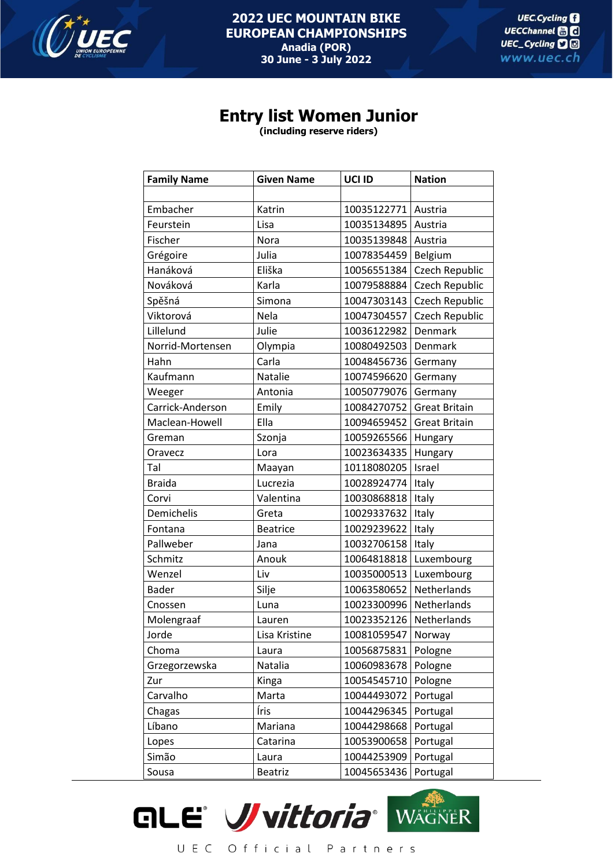

## **Entry list Women Junior**

**(including reserve riders)**

| <b>Family Name</b> | <b>Given Name</b> | UCI ID      | <b>Nation</b>        |
|--------------------|-------------------|-------------|----------------------|
|                    |                   |             |                      |
| Embacher           | Katrin            | 10035122771 | Austria              |
| Feurstein          | Lisa              | 10035134895 | Austria              |
| Fischer            | Nora              | 10035139848 | Austria              |
| Grégoire           | Julia             | 10078354459 | Belgium              |
| Hanáková           | Eliška            | 10056551384 | Czech Republic       |
| Nováková           | Karla             | 10079588884 | Czech Republic       |
| Spěšná             | Simona            | 10047303143 | Czech Republic       |
| Viktorová          | Nela              | 10047304557 | Czech Republic       |
| Lillelund          | Julie             | 10036122982 | Denmark              |
| Norrid-Mortensen   | Olympia           | 10080492503 | Denmark              |
| Hahn               | Carla             | 10048456736 | Germany              |
| Kaufmann           | Natalie           | 10074596620 | Germany              |
| Weeger             | Antonia           | 10050779076 | Germany              |
| Carrick-Anderson   | Emily             | 10084270752 | <b>Great Britain</b> |
| Maclean-Howell     | Ella              | 10094659452 | <b>Great Britain</b> |
| Greman             | Szonja            | 10059265566 | Hungary              |
| Oravecz            | Lora              | 10023634335 | Hungary              |
| Tal                | Maayan            | 10118080205 | Israel               |
| <b>Braida</b>      | Lucrezia          | 10028924774 | Italy                |
| Corvi              | Valentina         | 10030868818 | Italy                |
| Demichelis         | Greta             | 10029337632 | Italy                |
| Fontana            | <b>Beatrice</b>   | 10029239622 | Italy                |
| Pallweber          | Jana              | 10032706158 | Italy                |
| Schmitz            | Anouk             | 10064818818 | Luxembourg           |
| Wenzel             | Liv               | 10035000513 | Luxembourg           |
| <b>Bader</b>       | Silje             | 10063580652 | Netherlands          |
| Cnossen            | Luna              | 10023300996 | Netherlands          |
| Molengraaf         | Lauren            | 10023352126 | Netherlands          |
| Jorde              | Lisa Kristine     | 10081059547 | Norway               |
| Choma              | Laura             | 10056875831 | Pologne              |
| Grzegorzewska      | Natalia           | 10060983678 | Pologne              |
| Zur                | Kinga             | 10054545710 | Pologne              |
| Carvalho           | Marta             | 10044493072 | Portugal             |
| Chagas             | Íris              | 10044296345 | Portugal             |
| Líbano             | Mariana           | 10044298668 | Portugal             |
| Lopes              | Catarina          | 10053900658 | Portugal             |
| Simão              | Laura             | 10044253909 | Portugal             |
| Sousa              | <b>Beatriz</b>    | 10045653436 | Portugal             |